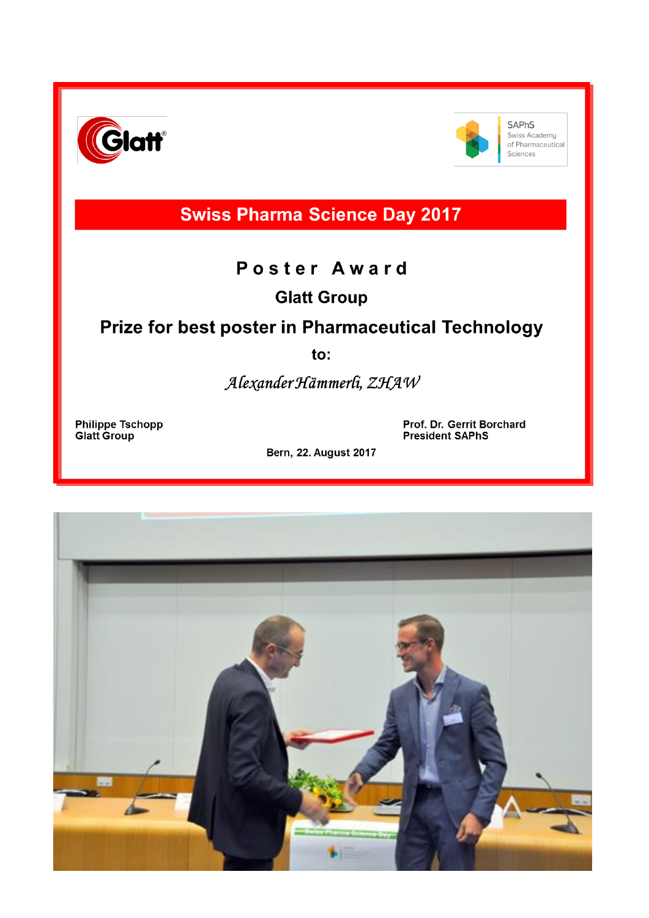



**SAPhS** Swiss Academy of Pharmaceutical Sciences

# **Swiss Pharma Science Day 2017**

### Poster Award

**Glatt Group** 

## Prize for best poster in Pharmaceutical Technology

 $to:$ 

Alexander Hämmerli, ZHAW

**Philippe Tschopp<br>Glatt Group** 

Prof. Dr. Gerrit Borchard **President SAPhS** 

**Bern, 22. August 2017**